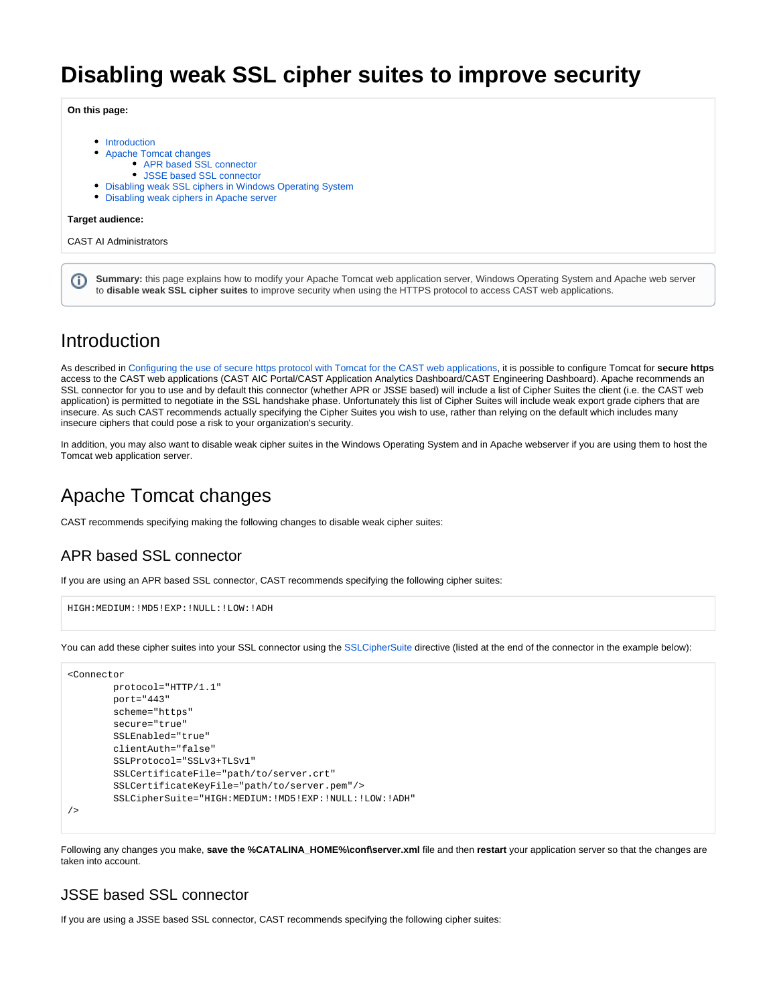# **Disabling weak SSL cipher suites to improve security**

**On this page:**

- [Introduction](#page-0-0)
- [Apache Tomcat changes](#page-0-1)
	- [APR based SSL connector](#page-0-2)
		- [JSSE based SSL connector](#page-0-3)
- [Disabling weak SSL ciphers in Windows Operating System](#page-1-0)
- [Disabling weak ciphers in Apache server](#page-1-1)

#### **Target audience:**

CAST AI Administrators

**Summary:** this page explains how to modify your Apache Tomcat web application server, Windows Operating System and Apache web server (i) to **disable weak SSL cipher suites** to improve security when using the HTTPS protocol to access CAST web applications.

### <span id="page-0-0"></span>Introduction

As described in [Configuring the use of secure https protocol with Tomcat for the CAST web applications,](https://doc.castsoftware.com/display/DOC82/Configuring+the+use+of+secure+https+protocol+with+Tomcat+for+the+CAST+web+applications) it is possible to configure Tomcat for **secure https** access to the CAST web applications (CAST AIC Portal/CAST Application Analytics Dashboard/CAST Engineering Dashboard). Apache recommends an SSL connector for you to use and by default this connector (whether APR or JSSE based) will include a list of Cipher Suites the client (i.e. the CAST web application) is permitted to negotiate in the SSL handshake phase. Unfortunately this list of Cipher Suites will include weak export grade ciphers that are insecure. As such CAST recommends actually specifying the Cipher Suites you wish to use, rather than relying on the default which includes many insecure ciphers that could pose a risk to your organization's security.

In addition, you may also want to disable weak cipher suites in the Windows Operating System and in Apache webserver if you are using them to host the Tomcat web application server.

### <span id="page-0-1"></span>Apache Tomcat changes

CAST recommends specifying making the following changes to disable weak cipher suites:

### <span id="page-0-2"></span>APR based SSL connector

If you are using an APR based SSL connector, CAST recommends specifying the following cipher suites:

```
HIGH:MEDIUM:!MD5!EXP:!NULL:!LOW:!ADH
```
You can add these cipher suites into your SSL connector using the [SSLCipherSuite](http://httpd.apache.org/docs/2.2/mod/mod_ssl.html#sslciphersuite) directive (listed at the end of the connector in the example below):

```
<Connector
         protocol="HTTP/1.1" 
         port="443"
        scheme="https"
         secure="true"
         SSLEnabled="true"
         clientAuth="false"
         SSLProtocol="SSLv3+TLSv1" 
         SSLCertificateFile="path/to/server.crt"
         SSLCertificateKeyFile="path/to/server.pem"/>
         SSLCipherSuite="HIGH:MEDIUM:!MD5!EXP:!NULL:!LOW:!ADH"
/>
```
Following any changes you make, **save the %CATALINA\_HOME%\conf\server.xml** file and then **restart** your application server so that the changes are taken into account.

### <span id="page-0-3"></span>JSSE based SSL connector

If you are using a JSSE based SSL connector, CAST recommends specifying the following cipher suites: